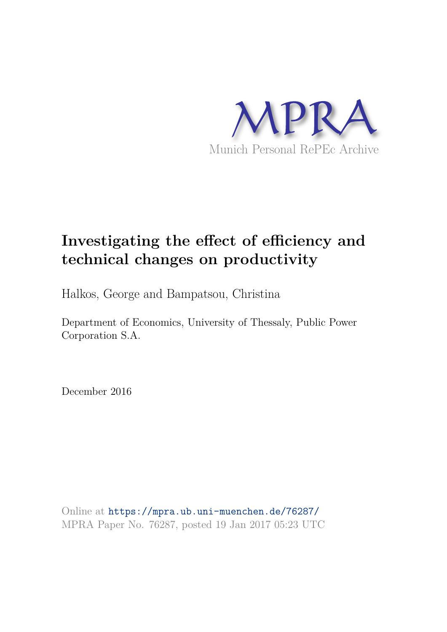

# **Investigating the effect of efficiency and technical changes on productivity**

Halkos, George and Bampatsou, Christina

Department of Economics, University of Thessaly, Public Power Corporation S.A.

December 2016

Online at https://mpra.ub.uni-muenchen.de/76287/ MPRA Paper No. 76287, posted 19 Jan 2017 05:23 UTC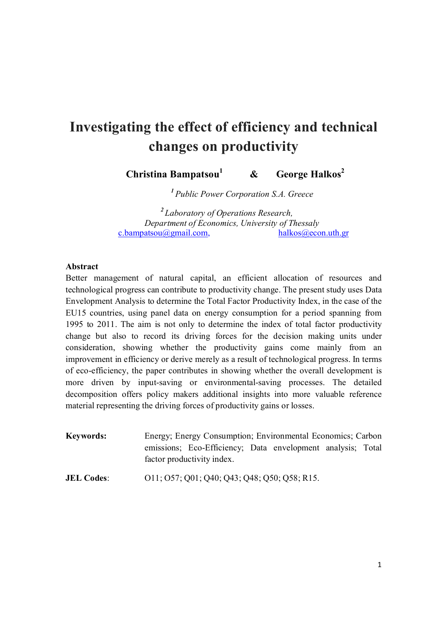# **Investigating the effect of efficiency and technical changes on productivity**

 **Christina Bampatsou<sup>1</sup> & George Halkos<sup>2</sup>**

*<sup>1</sup>Public Power Corporation S.A. Greece* 

*<sup>2</sup>Laboratory of Operations Research, Department of Economics, University of Thessaly*  $c.bampatsou@gmail.com,$  halkos $@econ.uth.gr$ 

## **Abstract**

Better management of natural capital, an efficient allocation of resources and technological progress can contribute to productivity change. The present study uses Data Envelopment Analysis to determine the Total Factor Productivity Index, in the case of the EU15 countries, using panel data on energy consumption for a period spanning from 1995 to 2011. The aim is not only to determine the index of total factor productivity change but also to record its driving forces for the decision making units under consideration, showing whether the productivity gains come mainly from an improvement in efficiency or derive merely as a result of technological progress. In terms of eco-efficiency, the paper contributes in showing whether the overall development is more driven by input-saving or environmental-saving processes. The detailed decomposition offers policy makers additional insights into more valuable reference material representing the driving forces of productivity gains or losses.

| <b>Keywords:</b> | Energy; Energy Consumption; Environmental Economics; Carbon |  |  |
|------------------|-------------------------------------------------------------|--|--|
|                  | emissions; Eco-Efficiency; Data envelopment analysis; Total |  |  |
|                  | factor productivity index.                                  |  |  |

**JEL Codes:** 011; 057; Q01; Q40; Q43; Q48; Q50; Q58; R15.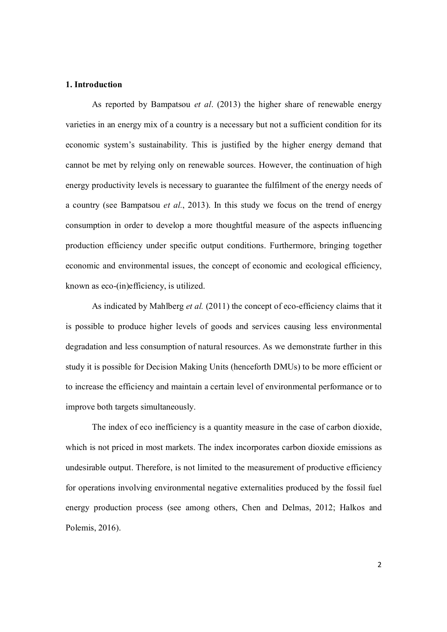#### **1. Introduction**

 As reported by Bampatsou *et al*. (2013) the higher share of renewable energy varieties in an energy mix of a country is a necessary but not a sufficient condition for its economic system's sustainability. This is justified by the higher energy demand that cannot be met by relying only on renewable sources. However, the continuation of high energy productivity levels is necessary to guarantee the fulfilment of the energy needs of a country (see Bampatsou *et al.*, 2013). In this study we focus on the trend of energy consumption in order to develop a more thoughtful measure of the aspects influencing production efficiency under specific output conditions. Furthermore, bringing together economic and environmental issues, the concept of economic and ecological efficiency, known as eco-(in)efficiency, is utilized.

 As indicated by Mahlberg *et al.* (2011) the concept of eco-efficiency claims that it is possible to produce higher levels of goods and services causing less environmental degradation and less consumption of natural resources. As we demonstrate further in this study it is possible for Decision Making Units (henceforth DMUs) to be more efficient or to increase the efficiency and maintain a certain level of environmental performance or to improve both targets simultaneously.

The index of eco inefficiency is a quantity measure in the case of carbon dioxide, which is not priced in most markets. The index incorporates carbon dioxide emissions as undesirable output. Therefore, is not limited to the measurement of productive efficiency for operations involving environmental negative externalities produced by the fossil fuel energy production process (see among others, Chen and Delmas, 2012; Halkos and Polemis, 2016).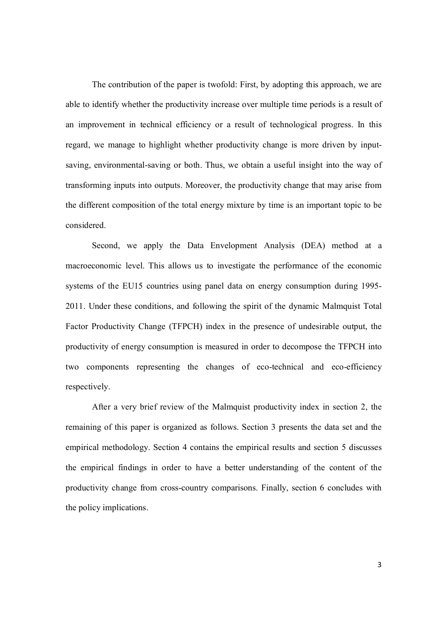The contribution of the paper is twofold: First, by adopting this approach, we are able to identify whether the productivity increase over multiple time periods is a result of an improvement in technical efficiency or a result of technological progress. In this regard, we manage to highlight whether productivity change is more driven by inputsaving, environmental-saving or both. Thus, we obtain a useful insight into the way of transforming inputs into outputs. Moreover, the productivity change that may arise from the different composition of the total energy mixture by time is an important topic to be considered.

Second, we apply the Data Envelopment Analysis (DEA) method at a macroeconomic level. This allows us to investigate the performance of the economic systems of the EU15 countries using panel data on energy consumption during 1995- 2011. Under these conditions, and following the spirit of the dynamic Malmquist Total Factor Productivity Change (TFPCH) index in the presence of undesirable output, the productivity of energy consumption is measured in order to decompose the TFPCH into two components representing the changes of eco-technical and eco-efficiency respectively.

 After a very brief review of the Malmquist productivity index in section 2, the remaining of this paper is organized as follows. Section 3 presents the data set and the empirical methodology. Section 4 contains the empirical results and section 5 discusses the empirical findings in order to have a better understanding of the content of the productivity change from cross-country comparisons. Finally, section 6 concludes with the policy implications.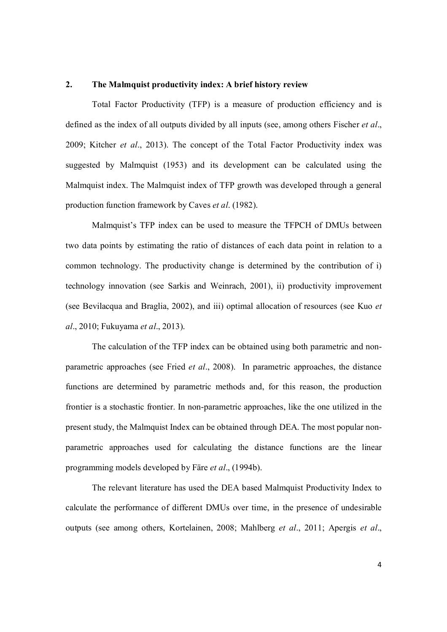#### **2. The Malmquist productivity index: A brief history review**

Total Factor Productivity (TFP) is a measure of production efficiency and is defined as the index of all outputs divided by all inputs (see, among others Fischer *et al*., 2009; Kitcher *et al*., 2013). The concept of the Total Factor Productivity index was suggested by Malmquist (1953) and its development can be calculated using the Malmquist index. The Malmquist index of TFP growth was developed through a general production function framework by Caves *et al*. (1982).

Malmquist's TFP index can be used to measure the TFPCH of DMUs between two data points by estimating the ratio of distances of each data point in relation to a common technology. The productivity change is determined by the contribution of i) technology innovation (see Sarkis and Weinrach, 2001), ii) productivity improvement (see Bevilacqua and Braglia, 2002), and iii) optimal allocation of resources (see Kuo *et al*., 2010; Fukuyama *et al*., 2013).

The calculation of the TFP index can be obtained using both parametric and nonparametric approaches (see Fried *et al*., 2008). In parametric approaches, the distance functions are determined by parametric methods and, for this reason, the production frontier is a stochastic frontier. In non-parametric approaches, like the one utilized in the present study, the Malmquist Index can be obtained through DEA. The most popular nonparametric approaches used for calculating the distance functions are the linear programming models developed by Färe *et al*., (1994b).

 The relevant literature has used the DEA based Malmquist Productivity Index to calculate the performance of different DMUs over time, in the presence of undesirable outputs (see among others, Kortelainen, 2008; Mahlberg *et al*., 2011; Apergis *et al*.,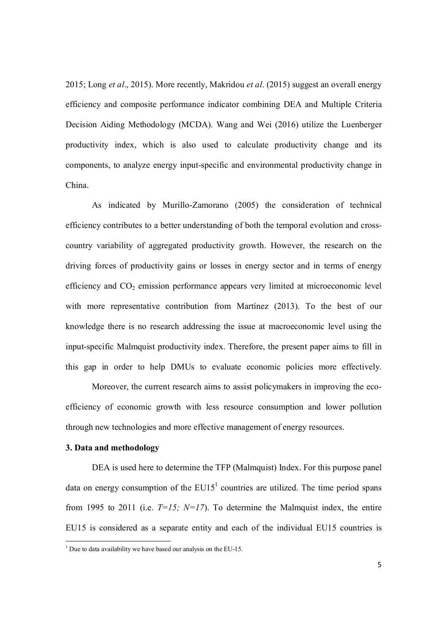2015; Long *et al*., 2015). More recently, Makridou *et al*. (2015) suggest an overall energy efficiency and composite performance indicator combining DEA and Multiple Criteria Decision Aiding Methodology (MCDA). Wang and Wei (2016) utilize the Luenberger productivity index, which is also used to calculate productivity change and its components, to analyze energy input-specific and environmental productivity change in China.

 As indicated by Murillo-Zamorano (2005) the consideration of technical efficiency contributes to a better understanding of both the temporal evolution and crosscountry variability of aggregated productivity growth. However, the research on the driving forces of productivity gains or losses in energy sector and in terms of energy efficiency and  $CO<sub>2</sub>$  emission performance appears very limited at microeconomic level with more representative contribution from Martínez (2013). To the best of our knowledge there is no research addressing the issue at macroeconomic level using the input-specific Malmquist productivity index. Therefore, the present paper aims to fill in this gap in order to help DMUs to evaluate economic policies more effectively.

 Moreover, the current research aims to assist policymakers in improving the ecoefficiency of economic growth with less resource consumption and lower pollution through new technologies and more effective management of energy resources.

#### **3. Data and methodology**

DEA is used here to determine the TFP (Malmquist) Index. For this purpose panel data on energy consumption of the  $EU15<sup>1</sup>$  countries are utilized. The time period spans from 1995 to 2011 (i.e.  $T=15$ ;  $N=17$ ). To determine the Malmquist index, the entire EU15 is considered as a separate entity and each of the individual EU15 countries is

 1 Due to data availability we have based our analysis on the EU-15.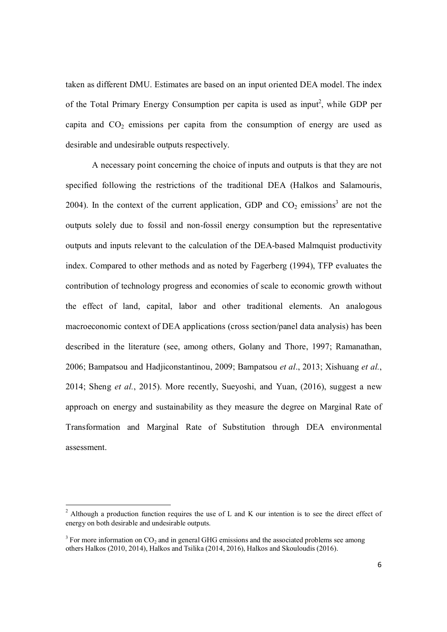taken as different DMU. Estimates are based on an input oriented DEA model. The index of the Total Primary Energy Consumption per capita is used as input<sup>2</sup>, while GDP per capita and  $CO<sub>2</sub>$  emissions per capita from the consumption of energy are used as desirable and undesirable outputs respectively.

A necessary point concerning the choice of inputs and outputs is that they are not specified following the restrictions of the traditional DEA (Halkos and Salamouris, 2004). In the context of the current application, GDP and  $CO<sub>2</sub>$  emissions<sup>3</sup> are not the outputs solely due to fossil and non-fossil energy consumption but the representative outputs and inputs relevant to the calculation of the DEA-based Malmquist productivity index. Compared to other methods and as noted by Fagerberg (1994), TFP evaluates the contribution of technology progress and economies of scale to economic growth without the effect of land, capital, labor and other traditional elements. An analogous macroeconomic context of DEA applications (cross section/panel data analysis) has been described in the literature (see, among others, Golany and Thore, 1997; Ramanathan, 2006; Bampatsou and Hadjiconstantinou, 2009; Bampatsou *et al*., 2013; Xishuang *et al.*, 2014; Sheng *et al.*, 2015). More recently, Sueyoshi, and Yuan, (2016), suggest a new approach on energy and sustainability as they measure the degree on Marginal Rate of Transformation and Marginal Rate of Substitution through DEA environmental assessment.

 $\overline{\phantom{a}}$ 

<sup>&</sup>lt;sup>2</sup> Although a production function requires the use of L and K our intention is to see the direct effect of energy on both desirable and undesirable outputs.

 $3$  For more information on  $CO_2$  and in general GHG emissions and the associated problems see among others Halkos (2010, 2014), Halkos and Tsilika (2014, 2016), Halkos and Skouloudis (2016).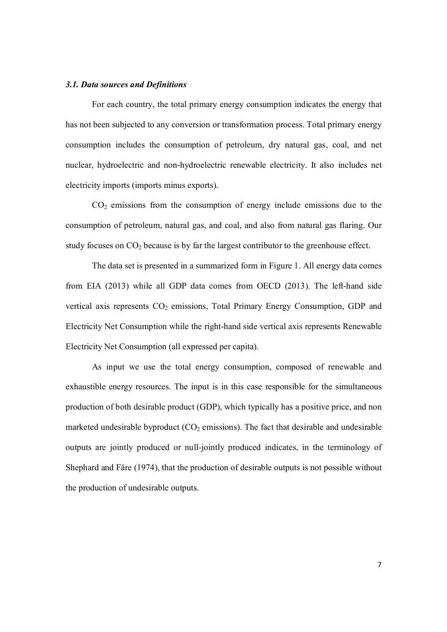#### *3.1. Data sources and Definitions*

 For each country, the total primary energy consumption indicates the energy that has not been subjected to any conversion or transformation process. Total primary energy consumption includes the consumption of petroleum, dry natural gas, coal, and net nuclear, hydroelectric and non-hydroelectric renewable electricity. It also includes net electricity imports (imports minus exports).

 $CO<sub>2</sub>$  emissions from the consumption of energy include emissions due to the consumption of petroleum, natural gas, and coal, and also from natural gas flaring. Our study focuses on  $CO<sub>2</sub>$  because is by far the largest contributor to the greenhouse effect.

 The data set is presented in a summarized form in Figure 1. All energy data comes from EIA (2013) while all GDP data comes from OECD (2013). The left-hand side vertical axis represents CO<sub>2</sub> emissions, Total Primary Energy Consumption, GDP and Electricity Net Consumption while the right-hand side vertical axis represents Renewable Electricity Net Consumption (all expressed per capita).

 As input we use the total energy consumption, composed of renewable and exhaustible energy resources. The input is in this case responsible for the simultaneous production of both desirable product (GDP), which typically has a positive price, and non marketed undesirable byproduct  $(CO<sub>2</sub>$  emissions). The fact that desirable and undesirable outputs are jointly produced or null-jointly produced indicates, in the terminology of Shephard and Färe (1974), that the production of desirable outputs is not possible without the production of undesirable outputs.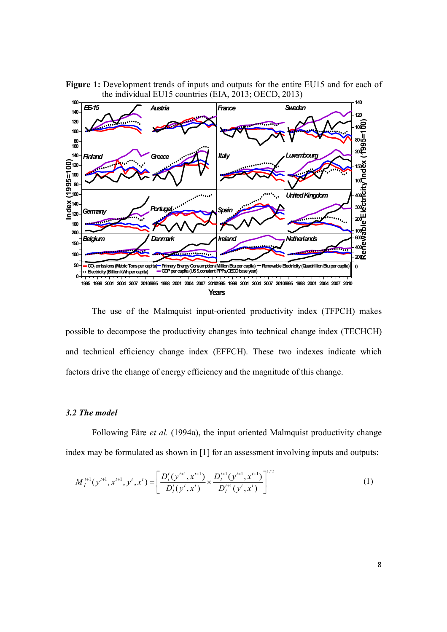

Figure 1: Development trends of inputs and outputs for the entire EU15 and for each of the individual EU15 countries (EIA, 2013; OECD, 2013)

 The use of the Malmquist input-oriented productivity index (TFPCH) makes possible to decompose the productivity changes into technical change index (TECHCH) and technical efficiency change index (EFFCH). These two indexes indicate which factors drive the change of energy efficiency and the magnitude of this change.

#### *3.2 The model*

 Following Färe *et al.* (1994a), the input oriented Malmquist productivity change index may be formulated as shown in [1] for an assessment involving inputs and outputs:

$$
M_I^{t+1}(y^{t+1}, x^{t+1}, y^t, x^t) = \left[ \frac{D_I^t(y^{t+1}, x^{t+1})}{D_I^t(y^t, x^t)} \times \frac{D_I^{t+1}(y^{t+1}, x^{t+1})}{D_I^{t+1}(y^t, x^t)} \right]^{1/2}
$$
(1)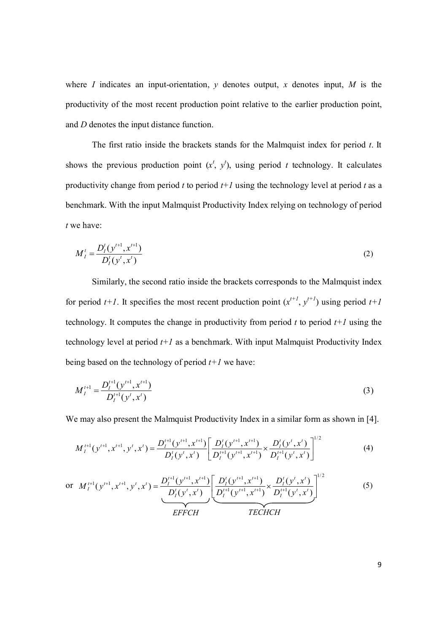where *I* indicates an input-orientation, *y* denotes output, *x* denotes input, *M* is the productivity of the most recent production point relative to the earlier production point, and *D* denotes the input distance function.

 The first ratio inside the brackets stands for the Malmquist index for period *t*. It shows the previous production point  $(x^t, y^t)$ , using period *t* technology. It calculates productivity change from period  $t$  to period  $t+1$  using the technology level at period  $t$  as a benchmark. With the input Malmquist Productivity Index relying on technology of period *t* we have:

$$
M_I^t = \frac{D_I^t(y^{t+1}, x^{t+1})}{D_I^t(y^t, x^t)}
$$
(2)

 Similarly, the second ratio inside the brackets corresponds to the Malmquist index for period  $t+1$ . It specifies the most recent production point  $(x^{t+1}, y^{t+1})$  using period  $t+1$ technology. It computes the change in productivity from period  $t$  to period  $t+1$  using the technology level at period  $t+1$  as a benchmark. With input Malmquist Productivity Index being based on the technology of period  $t+1$  we have:

$$
M_I^{t+1} = \frac{D_I^{t+1}(y^{t+1}, x^{t+1})}{D_I^{t+1}(y^t, x^t)}
$$
(3)

We may also present the Malmquist Productivity Index in a similar form as shown in [4].

$$
M_{I}^{t+1}(y^{t+1}, x^{t+1}, y^t, x^t) = \frac{D_{I}^{t+1}(y^{t+1}, x^{t+1})}{D_{I}^{t}(y^t, x^t)} \left[ \frac{D_{I}^{t}(y^{t+1}, x^{t+1})}{D_{I}^{t+1}(y^{t+1}, x^{t+1})} \times \frac{D_{I}^{t}(y^{t}, x^{t})}{D_{I}^{t+1}(y^{t}, x^{t})} \right]^{1/2}
$$
(4)

or 
$$
M_I^{t+1}(y^{t+1}, x^{t+1}, y^t, x^t) = \frac{D_I^{t+1}(y^{t+1}, x^{t+1})}{D_I^t(y^t, x^t)} \left[ \underbrace{\frac{D_I^t(y^{t+1}, x^{t+1})}{D_I^{t+1}(y^{t+1}, x^{t+1})}}_{EFFCH} \times \underbrace{\frac{D_I^t(y^t, x^t)}{D_I^{t+1}(y^t, x^t)}}_{TECHCH} \right]^{1/2}
$$
 (5)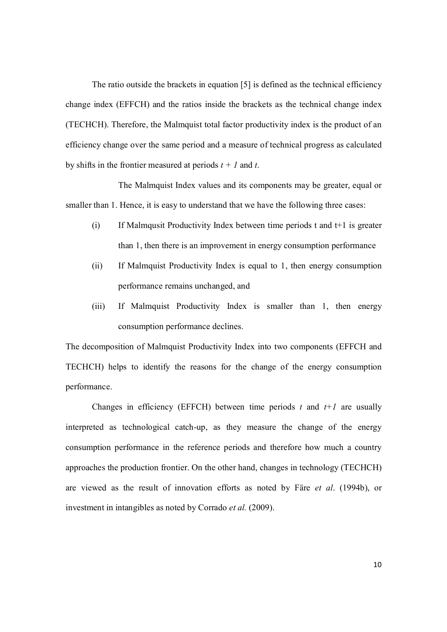The ratio outside the brackets in equation [5] is defined as the technical efficiency change index (EFFCH) and the ratios inside the brackets as the technical change index (TECHCH). Therefore, the Malmquist total factor productivity index is the product of an efficiency change over the same period and a measure of technical progress as calculated by shifts in the frontier measured at periods *t + 1* and *t*.

 The Malmquist Index values and its components may be greater, equal or smaller than 1. Hence, it is easy to understand that we have the following three cases:

- (i) If Malmqusit Productivity Index between time periods t and t+1 is greater than 1, then there is an improvement in energy consumption performance
- (ii) If Malmquist Productivity Index is equal to 1, then energy consumption performance remains unchanged, and
- (iii) If Malmquist Productivity Index is smaller than 1, then energy consumption performance declines.

The decomposition of Malmquist Productivity Index into two components (EFFCH and TECHCH) helps to identify the reasons for the change of the energy consumption performance.

Changes in efficiency (EFFCH) between time periods  $t$  and  $t+1$  are usually interpreted as technological catch-up, as they measure the change of the energy consumption performance in the reference periods and therefore how much a country approaches the production frontier. On the other hand, changes in technology (TECHCH) are viewed as the result of innovation efforts as noted by Färe *et al*. (1994b), or investment in intangibles as noted by Corrado *et al.* (2009).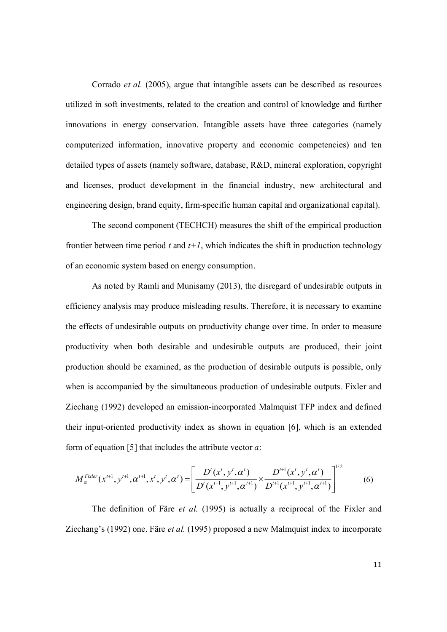Corrado *et al.* (2005), argue that intangible assets can be described as resources utilized in soft investments, related to the creation and control of knowledge and further innovations in energy conservation. Intangible assets have three categories (namely computerized information, innovative property and economic competencies) and ten detailed types of assets (namely software, database, R&D, mineral exploration, copyright and licenses, product development in the financial industry, new architectural and engineering design, brand equity, firm-specific human capital and organizational capital).

 The second component (TECHCH) measures the shift of the empirical production frontier between time period  $t$  and  $t+1$ , which indicates the shift in production technology of an economic system based on energy consumption.

 As noted by Ramli and Munisamy (2013), the disregard of undesirable outputs in efficiency analysis may produce misleading results. Therefore, it is necessary to examine the effects of undesirable outputs on productivity change over time. In order to measure productivity when both desirable and undesirable outputs are produced, their joint production should be examined, as the production of desirable outputs is possible, only when is accompanied by the simultaneous production of undesirable outputs. Fixler and Ziechang (1992) developed an emission-incorporated Malmquist TFP index and defined their input-oriented productivity index as shown in equation [6], which is an extended form of equation [5] that includes the attribute vector *a*:

$$
M_{\alpha}^{Fixler}(x^{t+1}, y^{t+1}, \alpha^{t+1}, x^t, y^t, \alpha^t) = \left[ \frac{D^t(x^t, y^t, \alpha^t)}{D^t(x^{t+1}, y^{t+1}, \alpha^{t+1})} \times \frac{D^{t+1}(x^t, y^t, \alpha^t)}{D^{t+1}(x^{t+1}, y^{t+1}, \alpha^{t+1})} \right]^{1/2}
$$
(6)

 The definition of Färe *et al.* (1995) is actually a reciprocal of the Fixler and Ziechang's (1992) one. Färe *et al.* (1995) proposed a new Malmquist index to incorporate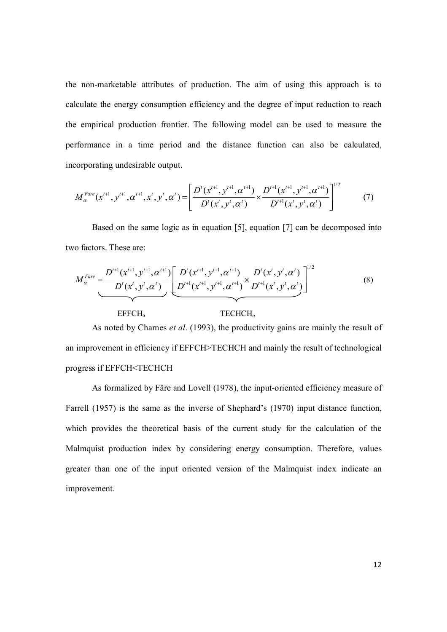the non-marketable attributes of production. The aim of using this approach is to calculate the energy consumption efficiency and the degree of input reduction to reach the empirical production frontier. The following model can be used to measure the performance in a time period and the distance function can also be calculated, incorporating undesirable output.

$$
M_{\alpha}^{Fare}(x^{t+1}, y^{t+1}, \alpha^{t+1}, x^t, y^t, \alpha^t) = \left[ \frac{D^t(x^{t+1}, y^{t+1}, \alpha^{t+1})}{D^t(x^t, y^t, \alpha^t)} \times \frac{D^{t+1}(x^{t+1}, y^{t+1}, \alpha^{t+1})}{D^{t+1}(x^t, y^t, \alpha^t)} \right]^{1/2}
$$
(7)

 Based on the same logic as in equation [5], equation [7] can be decomposed into two factors. These are:

$$
M_{\alpha}^{Fare} = \frac{D^{t+1}(x^{t+1}, y^{t+1}, \alpha^{t+1})}{D^t(x^t, y^t, \alpha^t)} \left[ \frac{D^t(x^{t+1}, y^{t+1}, \alpha^{t+1})}{D^{t+1}(x^{t+1}, y^{t+1}, \alpha^{t+1})} \times \frac{D^t(x^t, y^t, \alpha^t)}{D^{t+1}(x^t, y^t, \alpha^t)} \right]^{1/2}
$$
(8)

 $EFFCH_{\alpha}$  TECHCH<sub>α</sub>

 As noted by Charnes *et al*. (1993), the productivity gains are mainly the result of an improvement in efficiency if EFFCH>TECHCH and mainly the result of technological progress if EFFCH<TECHCH

 As formalized by Färe and Lovell (1978), the input-oriented efficiency measure of Farrell (1957) is the same as the inverse of Shephard's (1970) input distance function, which provides the theoretical basis of the current study for the calculation of the Malmquist production index by considering energy consumption. Therefore, values greater than one of the input oriented version of the Malmquist index indicate an improvement.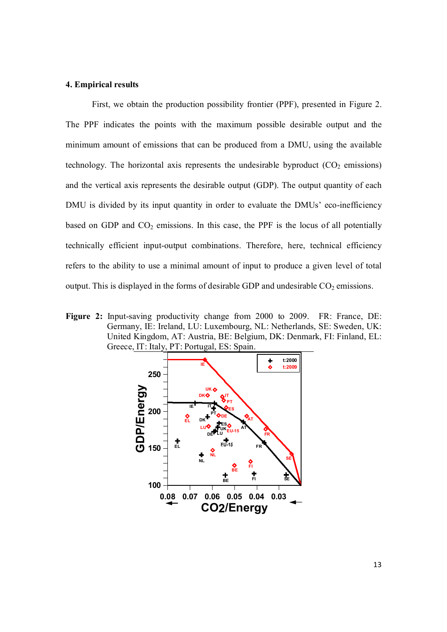#### **4. Empirical results**

 First, we obtain the production possibility frontier (PPF), presented in Figure 2. The PPF indicates the points with the maximum possible desirable output and the minimum amount of emissions that can be produced from a DMU, using the available technology. The horizontal axis represents the undesirable byproduct  $(CO<sub>2</sub>$  emissions) and the vertical axis represents the desirable output (GDP). The output quantity of each DMU is divided by its input quantity in order to evaluate the DMUs' eco-inefficiency based on GDP and  $CO<sub>2</sub>$  emissions. In this case, the PPF is the locus of all potentially technically efficient input-output combinations. Therefore, here, technical efficiency refers to the ability to use a minimal amount of input to produce a given level of total output. This is displayed in the forms of desirable GDP and undesirable  $CO<sub>2</sub>$  emissions.

**Figure 2:** Input-saving productivity change from 2000 to 2009. FR: France, DE: Germany, IE: Ireland, LU: Luxembourg, NL: Netherlands, SE: Sweden, UK: United Kingdom, AT: Austria, BE: Belgium, DK: Denmark, FI: Finland, EL: Greece, IT: Italy, PT: Portugal, ES: Spain.

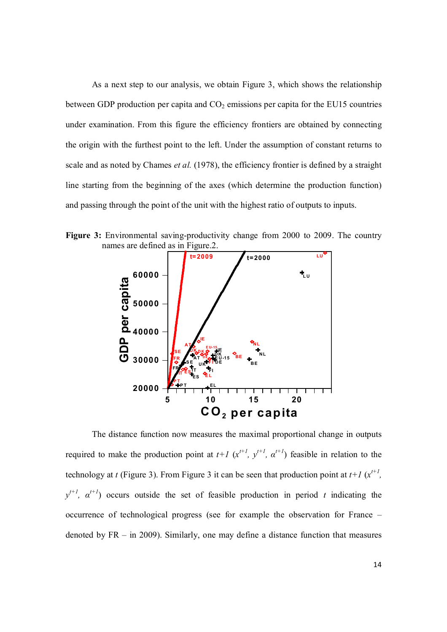As a next step to our analysis, we obtain Figure 3, which shows the relationship between GDP production per capita and  $CO<sub>2</sub>$  emissions per capita for the EU15 countries under examination. From this figure the efficiency frontiers are obtained by connecting the origin with the furthest point to the left. Under the assumption of constant returns to scale and as noted by Chames *et al.* (1978), the efficiency frontier is defined by a straight line starting from the beginning of the axes (which determine the production function) and passing through the point of the unit with the highest ratio of outputs to inputs.

**Figure 3:** Environmental saving-productivity change from 2000 to 2009. The country names are defined as in Figure.2.



The distance function now measures the maximal proportional change in outputs required to make the production point at  $t+1$  ( $x^{t+1}$ ,  $y^{t+1}$ ,  $\alpha^{t+1}$ ) feasible in relation to the technology at *t* (Figure 3). From Figure 3 it can be seen that production point at  $t+1$  ( $x^{t+1}$ ,  $y^{t+1}$ ,  $\alpha^{t+1}$ ) occurs outside the set of feasible production in period *t* indicating the occurrence of technological progress (see for example the observation for France – denoted by FR – in 2009). Similarly, one may define a distance function that measures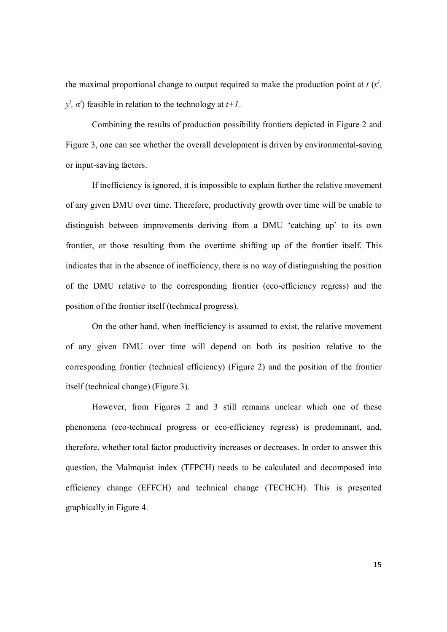the maximal proportional change to output required to make the production point at  $t(x^t)$ ,  $y^t$ ,  $\alpha^t$ ) feasible in relation to the technology at  $t+1$ .

 Combining the results of production possibility frontiers depicted in Figure 2 and Figure 3, one can see whether the overall development is driven by environmental-saving or input-saving factors.

 If inefficiency is ignored, it is impossible to explain further the relative movement of any given DMU over time. Therefore, productivity growth over time will be unable to distinguish between improvements deriving from a DMU 'catching up' to its own frontier, or those resulting from the overtime shifting up of the frontier itself. This indicates that in the absence of inefficiency, there is no way of distinguishing the position of the DMU relative to the corresponding frontier (eco-efficiency regress) and the position of the frontier itself (technical progress).

 On the other hand, when inefficiency is assumed to exist, the relative movement of any given DMU over time will depend on both its position relative to the corresponding frontier (technical efficiency) (Figure 2) and the position of the frontier itself (technical change) (Figure 3).

 However, from Figures 2 and 3 still remains unclear which one of these phenomena (eco-technical progress or eco-efficiency regress) is predominant, and, therefore, whether total factor productivity increases or decreases. In order to answer this question, the Malmquist index (TFPCH) needs to be calculated and decomposed into efficiency change (EFFCH) and technical change (TECHCH). This is presented graphically in Figure 4.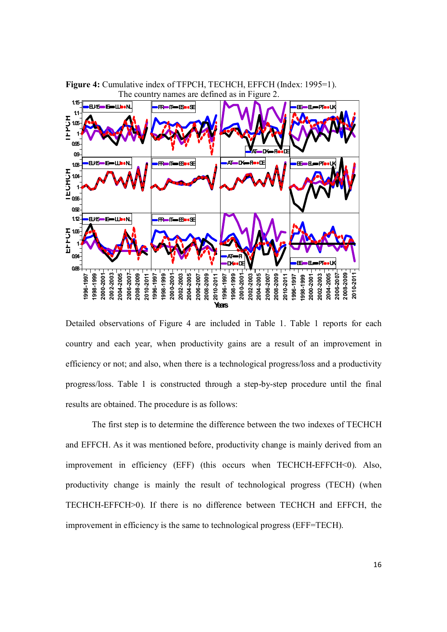

**Figure 4:** Cumulative index of TFPCH, TECHCH, EFFCH (Index: 1995=1). The country names are defined as in Figure 2.

Detailed observations of Figure 4 are included in Table 1. Table 1 reports for each country and each year, when productivity gains are a result of an improvement in efficiency or not; and also, when there is a technological progress/loss and a productivity progress/loss. Table 1 is constructed through a step-by-step procedure until the final results are obtained. The procedure is as follows:

 The first step is to determine the difference between the two indexes of TECHCH and EFFCH. As it was mentioned before, productivity change is mainly derived from an improvement in efficiency (EFF) (this occurs when TECHCH-EFFCH<0). Also, productivity change is mainly the result of technological progress (TECH) (when TECHCH-EFFCH>0). If there is no difference between TECHCH and EFFCH, the improvement in efficiency is the same to technological progress (EFF=TECH).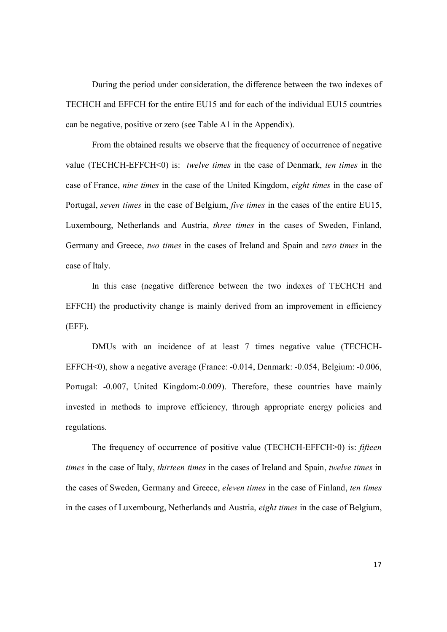During the period under consideration, the difference between the two indexes of TECHCH and EFFCH for the entire EU15 and for each of the individual EU15 countries can be negative, positive or zero (see Table A1 in the Appendix).

From the obtained results we observe that the frequency of occurrence of negative value (TECHCH-EFFCH<0) is: *twelve times* in the case of Denmark, *ten times* in the case of France, *nine times* in the case of the United Kingdom, *eight times* in the case of Portugal, *seven times* in the case of Belgium, *five times* in the cases of the entire EU15, Luxembourg, Netherlands and Austria, *three times* in the cases of Sweden, Finland, Germany and Greece, *two times* in the cases of Ireland and Spain and *zero times* in the case of Italy.

 In this case (negative difference between the two indexes of TECHCH and EFFCH) the productivity change is mainly derived from an improvement in efficiency (EFF).

 DMUs with an incidence of at least 7 times negative value (TECHCH-EFFCH<0), show a negative average (France: -0.014, Denmark: -0.054, Belgium: -0.006, Portugal: -0.007, United Kingdom:-0.009). Therefore, these countries have mainly invested in methods to improve efficiency, through appropriate energy policies and regulations.

The frequency of occurrence of positive value (TECHCH-EFFCH>0) is: *fifteen times* in the case of Italy, *thirteen times* in the cases of Ireland and Spain, *twelve times* in the cases of Sweden, Germany and Greece, *eleven times* in the case of Finland, *ten times* in the cases of Luxembourg, Netherlands and Austria, *eight times* in the case of Belgium,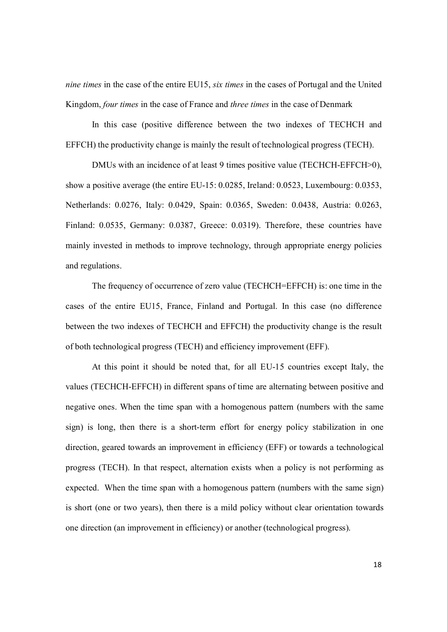*nine times* in the case of the entire EU15, *six times* in the cases of Portugal and the United Kingdom, *four times* in the case of France and *three times* in the case of Denmark

In this case (positive difference between the two indexes of TECHCH and EFFCH) the productivity change is mainly the result of technological progress (TECH).

DMUs with an incidence of at least 9 times positive value (TECHCH-EFFCH>0), show a positive average (the entire EU-15: 0.0285, Ireland: 0.0523, Luxembourg: 0.0353, Netherlands: 0.0276, Italy: 0.0429, Spain: 0.0365, Sweden: 0.0438, Austria: 0.0263, Finland: 0.0535, Germany: 0.0387, Greece: 0.0319). Therefore, these countries have mainly invested in methods to improve technology, through appropriate energy policies and regulations.

The frequency of occurrence of zero value (TECHCH=EFFCH) is: one time in the cases of the entire EU15, France, Finland and Portugal. In this case (no difference between the two indexes of TECHCH and EFFCH) the productivity change is the result of both technological progress (TECH) and efficiency improvement (EFF).

 At this point it should be noted that, for all EU-15 countries except Italy, the values (TECHCH-EFFCH) in different spans of time are alternating between positive and negative ones. When the time span with a homogenous pattern (numbers with the same sign) is long, then there is a short-term effort for energy policy stabilization in one direction, geared towards an improvement in efficiency (EFF) or towards a technological progress (TECH). In that respect, alternation exists when a policy is not performing as expected. When the time span with a homogenous pattern (numbers with the same sign) is short (one or two years), then there is a mild policy without clear orientation towards one direction (an improvement in efficiency) or another (technological progress).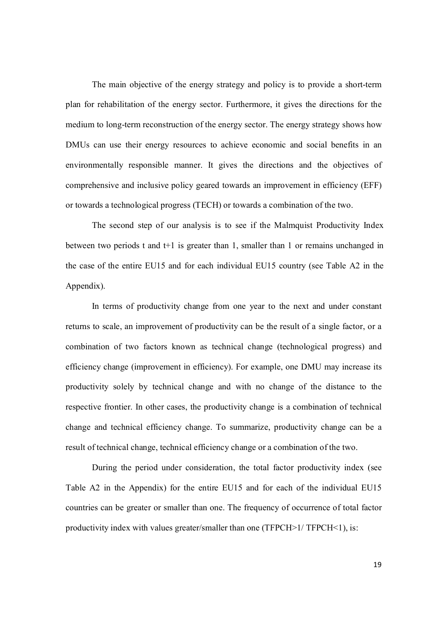The main objective of the energy strategy and policy is to provide a short-term plan for rehabilitation of the energy sector. Furthermore, it gives the directions for the medium to long-term reconstruction of the energy sector. The energy strategy shows how DMUs can use their energy resources to achieve economic and social benefits in an environmentally responsible manner. It gives the directions and the objectives of comprehensive and inclusive policy geared towards an improvement in efficiency (EFF) or towards a technological progress (TECH) or towards a combination of the two.

The second step of our analysis is to see if the Malmquist Productivity Index between two periods t and t+1 is greater than 1, smaller than 1 or remains unchanged in the case of the entire EU15 and for each individual EU15 country (see Table A2 in the Appendix).

 In terms of productivity change from one year to the next and under constant returns to scale, an improvement of productivity can be the result of a single factor, or a combination of two factors known as technical change (technological progress) and efficiency change (improvement in efficiency). For example, one DMU may increase its productivity solely by technical change and with no change of the distance to the respective frontier. In other cases, the productivity change is a combination of technical change and technical efficiency change. To summarize, productivity change can be a result of technical change, technical efficiency change or a combination of the two.

 During the period under consideration, the total factor productivity index (see Table A2 in the Appendix) for the entire EU15 and for each of the individual EU15 countries can be greater or smaller than one. The frequency of occurrence of total factor productivity index with values greater/smaller than one (TFPCH>1/ TFPCH<1), is: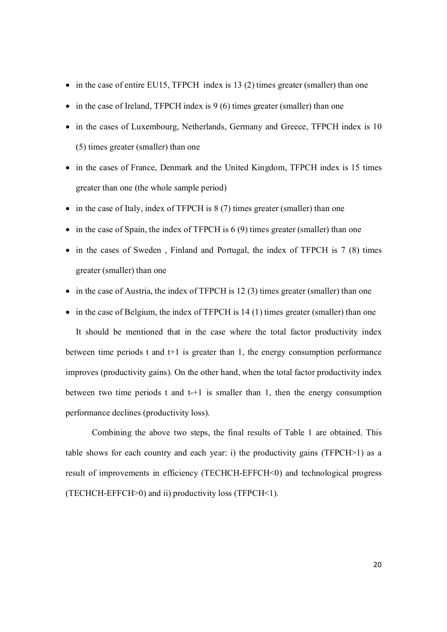- $\bullet$  in the case of entire EU15, TFPCH index is 13 (2) times greater (smaller) than one
- $\bullet$  in the case of Ireland, TFPCH index is 9 (6) times greater (smaller) than one
- in the cases of Luxembourg, Netherlands, Germany and Greece, TFPCH index is 10 (5) times greater (smaller) than one
- in the cases of France, Denmark and the United Kingdom, TFPCH index is 15 times greater than one (the whole sample period)
- in the case of Italy, index of TFPCH is 8 (7) times greater (smaller) than one
- $\bullet$  in the case of Spain, the index of TFPCH is 6 (9) times greater (smaller) than one
- in the cases of Sweden, Finland and Portugal, the index of TFPCH is 7 (8) times greater (smaller) than one
- in the case of Austria, the index of TFPCH is 12 (3) times greater (smaller) than one
- $\bullet$  in the case of Belgium, the index of TFPCH is 14 (1) times greater (smaller) than one

It should be mentioned that in the case where the total factor productivity index between time periods t and  $t+1$  is greater than 1, the energy consumption performance improves (productivity gains). On the other hand, when the total factor productivity index between two time periods t and  $t+1$  is smaller than 1, then the energy consumption performance declines (productivity loss).

 Combining the above two steps, the final results of Table 1 are obtained. Τhis table shows for each country and each year: i) the productivity gains ( $TFPCH>1$ ) as a result of improvements in efficiency (TECHCH-EFFCH<0) and technological progress (TECHCH-EFFCH>0) and ii) productivity loss (TFPCH<1).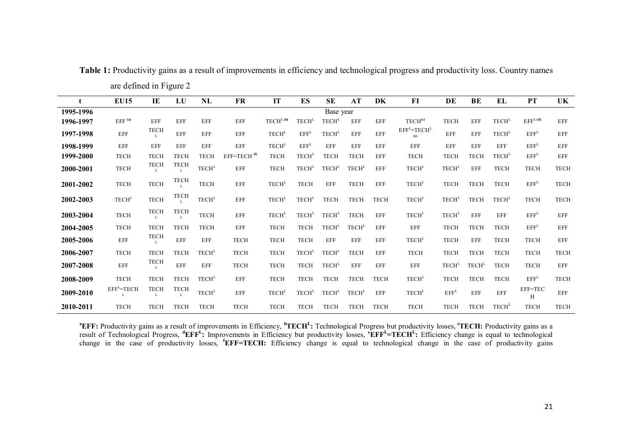| t         | <b>EU15</b>        | IE               | LU          | NL                                                     | <b>FR</b>               | IT                       | ES                       | <b>SE</b>                | AT                       | DK          | F1                  | DE                       | BE                | EL                | <b>PT</b>           | <b>UK</b>   |
|-----------|--------------------|------------------|-------------|--------------------------------------------------------|-------------------------|--------------------------|--------------------------|--------------------------|--------------------------|-------------|---------------------|--------------------------|-------------------|-------------------|---------------------|-------------|
| 1995-1996 |                    |                  |             |                                                        |                         |                          |                          | Base year                |                          |             |                     |                          |                   |                   |                     |             |
| 1996-1997 | EFF <sup>(a)</sup> | EFF              | <b>EFF</b>  | <b>EFF</b>                                             | EFF                     | TECH <sup>L(b)</sup>     | TECH <sup>L</sup>        | TECH <sup>L</sup>        | <b>EFF</b>               | <b>EFF</b>  | TECH <sup>(c)</sup> | <b>TECH</b>              | EFF               | TECH <sup>L</sup> | EFF <sup>L(d)</sup> | EFF         |
| 1997-1998 | EFF                | <b>TECH</b>      | EFF         | <b>EFF</b>                                             | EFF                     | TECH <sup>L</sup>        | EFF <sup>L</sup>         | <b>TECH</b> <sup>L</sup> | <b>EFF</b>               | <b>EFF</b>  | $EFFL=TECHL$<br>(e) | <b>EFF</b>               | <b>EFF</b>        | TECH <sup>L</sup> | EFF <sup>L</sup>    | <b>EFF</b>  |
| 1998-1999 | EFF                | EFF              | EFF         | <b>EFF</b>                                             | EFF                     | <b>TECH</b> <sup>L</sup> | EFF <sup>L</sup>         | EFF                      | <b>EFF</b>               | EFF         | EFF                 | EFF                      | <b>EFF</b>        | EFF               | EFF <sup>L</sup>    | EFF         |
| 1999-2000 | <b>TECH</b>        | <b>TECH</b>      | <b>TECH</b> | <b>TECH</b>                                            | EFF=TECH <sup>(f)</sup> | <b>TECH</b>              | TECH <sup>L</sup>        | <b>TECH</b>              | <b>TECH</b>              | EFF         | <b>TECH</b>         | <b>TECH</b>              | <b>TECH</b>       | TECH <sup>L</sup> | EFF <sup>L</sup>    | EFF         |
| 2000-2001 | <b>TECH</b>        | <b>TECH</b>      | <b>TECH</b> | $\ensuremath{\mathsf{TECH}}^{\ensuremath{\mathsf{L}}}$ | EFF                     | <b>TECH</b>              | TECH <sup>L</sup>        | TECH <sup>L</sup>        | <b>TECH</b> <sup>L</sup> | <b>EFF</b>  | TECH <sup>L</sup>   | <b>TECH</b> <sup>L</sup> | EFF               | <b>TECH</b>       | <b>TECH</b>         | <b>TECH</b> |
| 2001-2002 | <b>TECH</b>        | <b>TECH</b>      | <b>TECH</b> | <b>TECH</b>                                            | EFF                     | TECH <sup>L</sup>        | <b>TECH</b>              | <b>EFF</b>               | <b>TECH</b>              | <b>EFF</b>  | TECH <sup>L</sup>   | <b>TECH</b>              | <b>TECH</b>       | <b>TECH</b>       | EFF <sup>L</sup>    | <b>TECH</b> |
| 2002-2003 | TECH <sup>L</sup>  | <b>TECH</b>      | <b>TECH</b> | $\text{TECH}^{\text{L}}$                               | EFF                     | TECH <sup>L</sup>        | <b>TECH</b> <sup>L</sup> | <b>TECH</b>              | <b>TECH</b>              | <b>TECH</b> | TECH <sup>L</sup>   | TECH <sup>L</sup>        | <b>TECH</b>       | TECH <sup>L</sup> | <b>TECH</b>         | <b>TECH</b> |
| 2003-2004 | TECH               | <b>TECH</b><br>L | <b>TECH</b> | TECH                                                   | EFF                     | TECH <sup>L</sup>        | TECH <sup>L</sup>        | TECH <sup>L</sup>        | <b>TECH</b>              | <b>EFF</b>  | TECH <sup>L</sup>   | TECH <sup>L</sup>        | EFF               | EFF               | EFF <sup>L</sup>    | <b>EFF</b>  |
| 2004-2005 | <b>TECH</b>        | <b>TECH</b>      | <b>TECH</b> | <b>TECH</b>                                            | EFF                     | <b>TECH</b>              | <b>TECH</b>              | TECH <sup>L</sup>        | TECH <sup>L</sup>        | EFF         | EFF                 | <b>TECH</b>              | <b>TECH</b>       | <b>TECH</b>       | EFF <sup>L</sup>    | EFF         |
| 2005-2006 | EFF                | <b>TECH</b>      | EFF         | <b>EFF</b>                                             | <b>TECH</b>             | <b>TECH</b>              | <b>TECH</b>              | EFF                      | <b>EFF</b>               | EFF         | TECH <sup>L</sup>   | <b>TECH</b>              | EFF               | <b>TECH</b>       | <b>TECH</b>         | <b>EFF</b>  |
| 2006-2007 | <b>TECH</b>        | <b>TECH</b>      | <b>TECH</b> | TECH <sup>L</sup>                                      | <b>TECH</b>             | <b>TECH</b>              | TECH <sup>L</sup>        | TECH <sup>L</sup>        | <b>TECH</b>              | EFF         | <b>TECH</b>         | <b>TECH</b>              | <b>TECH</b>       | <b>TECH</b>       | <b>TECH</b>         | <b>TECH</b> |
| 2007-2008 | EFF                | <b>TECH</b>      | <b>EFF</b>  | <b>EFF</b>                                             | <b>TECH</b>             | <b>TECH</b>              | <b>TECH</b>              | TECH <sup>L</sup>        | <b>EFF</b>               | <b>EFF</b>  | EFF                 | TECH <sup>L</sup>        | TECH <sup>L</sup> | <b>TECH</b>       | <b>TECH</b>         | <b>EFF</b>  |
| 2008-2009 | <b>TECH</b>        | <b>TECH</b>      | <b>TECH</b> | <b>TECH</b> <sup>L</sup>                               | EFF                     | <b>TECH</b>              | <b>TECH</b>              | <b>TECH</b>              | <b>TECH</b>              | <b>TECH</b> | TECH <sup>L</sup>   | <b>TECH</b>              | <b>TECH</b>       | <b>TECH</b>       | EFF <sup>L</sup>    | <b>TECH</b> |
| 2009-2010 | $EFFL=TECH$        | <b>TECH</b>      | <b>TECH</b> | TECH <sup>L</sup>                                      | EFF                     | TECH <sup>L</sup>        | TECH <sup>L</sup>        | TECH <sup>L</sup>        | TECH <sup>L</sup>        | <b>EFF</b>  | TECH <sup>L</sup>   | EFF <sup>L</sup>         | <b>EFF</b>        | EFF               | EFF=TEC<br>Н        | <b>EFF</b>  |
| 2010-2011 | <b>TECH</b>        | <b>TECH</b>      | <b>TECH</b> | <b>TECH</b>                                            | <b>TECH</b>             | <b>TECH</b>              | <b>TECH</b>              | <b>TECH</b>              | <b>TECH</b>              | <b>TECH</b> | <b>TECH</b>         | <b>TECH</b>              | <b>TECH</b>       | TECH <sup>L</sup> | <b>TECH</b>         | <b>TECH</b> |

Table 1: Productivity gains as a result of improvements in efficiency and technological progress and productivity loss. Country names are defined in Figure 2

<sup>a</sup>EFF: Productivity gains as a result of improvements in Efficiency, <sup>b</sup>TECH<sup>L</sup>: Technological Progress but productivity losses, "TECH: Productivity gains as a result of Technological Progress,  ${}^d$ EFF<sup>L</sup>: Improvements in Efficiency but productivity losses,  ${}^e$ EFF<sup>L</sup>=TECH<sup>L</sup>: Efficiency change is equal to technological change in the case of productivity losses, **<sup>f</sup>EFF=TECH:** Efficiency change is equal to technological change in the case of productivity gains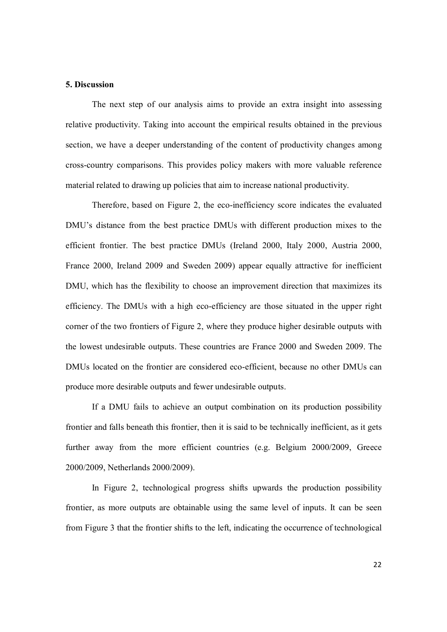#### **5. Discussion**

 The next step of our analysis aims to provide an extra insight into assessing relative productivity. Taking into account the empirical results obtained in the previous section, we have a deeper understanding of the content of productivity changes among cross-country comparisons. This provides policy makers with more valuable reference material related to drawing up policies that aim to increase national productivity.

 Therefore, based on Figure 2, the eco-inefficiency score indicates the evaluated DMU's distance from the best practice DMUs with different production mixes to the efficient frontier. The best practice DMUs (Ireland 2000, Italy 2000, Austria 2000, France 2000, Ireland 2009 and Sweden 2009) appear equally attractive for inefficient DMU, which has the flexibility to choose an improvement direction that maximizes its efficiency. The DMUs with a high eco-efficiency are those situated in the upper right corner of the two frontiers of Figure 2, where they produce higher desirable outputs with the lowest undesirable outputs. These countries are France 2000 and Sweden 2009. The DMUs located on the frontier are considered eco-efficient, because no other DMUs can produce more desirable outputs and fewer undesirable outputs.

 If a DMU fails to achieve an output combination on its production possibility frontier and falls beneath this frontier, then it is said to be technically inefficient, as it gets further away from the more efficient countries (e.g. Belgium 2000/2009, Greece 2000/2009, Netherlands 2000/2009).

 In Figure 2, technological progress shifts upwards the production possibility frontier, as more outputs are obtainable using the same level of inputs. It can be seen from Figure 3 that the frontier shifts to the left, indicating the occurrence of technological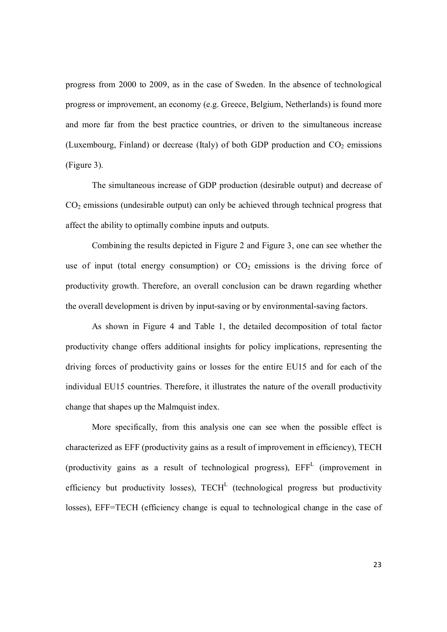progress from 2000 to 2009, as in the case of Sweden. In the absence of technological progress or improvement, an economy (e.g. Greece, Belgium, Netherlands) is found more and more far from the best practice countries, or driven to the simultaneous increase (Luxembourg, Finland) or decrease (Italy) of both GDP production and  $CO<sub>2</sub>$  emissions (Figure 3).

The simultaneous increase of GDP production (desirable output) and decrease of CO2 emissions (undesirable output) can only be achieved through technical progress that affect the ability to optimally combine inputs and outputs.

Combining the results depicted in Figure 2 and Figure 3, one can see whether the use of input (total energy consumption) or  $CO<sub>2</sub>$  emissions is the driving force of productivity growth. Therefore, an overall conclusion can be drawn regarding whether the overall development is driven by input-saving or by environmental-saving factors.

 As shown in Figure 4 and Table 1, the detailed decomposition of total factor productivity change offers additional insights for policy implications, representing the driving forces of productivity gains or losses for the entire EU15 and for each of the individual EU15 countries. Therefore, it illustrates the nature of the overall productivity change that shapes up the Malmquist index.

 More specifically, from this analysis one can see when the possible effect is characterized as EFF (productivity gains as a result of improvement in efficiency), TECH (productivity gains as a result of technological progress),  $EFF<sup>L</sup>$  (improvement in efficiency but productivity losses),  $TECH<sup>L</sup>$  (technological progress but productivity losses), EFF=TECH (efficiency change is equal to technological change in the case of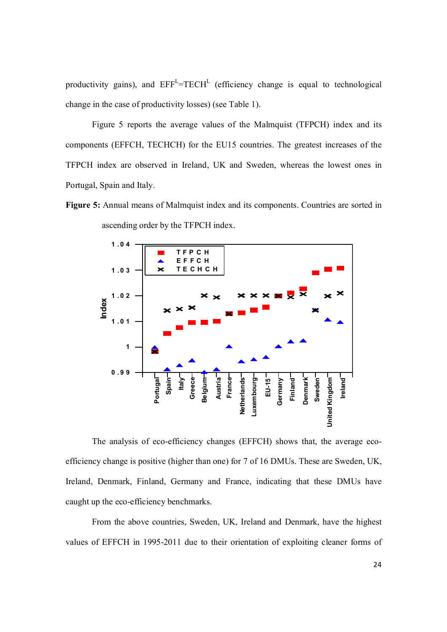productivity gains), and  $EFF<sup>L</sup>=TECH<sup>L</sup>$  (efficiency change is equal to technological change in the case of productivity losses) (see Table 1).

 Figure 5 reports the average values of the Malmquist (TFPCH) index and its components (EFFCH, TECHCH) for the EU15 countries. The greatest increases of the TFPCH index are observed in Ireland, UK and Sweden, whereas the lowest ones in Portugal, Spain and Italy.

Figure 5: Annual means of Malmquist index and its components. Countries are sorted in ascending order by the TFPCH index.



 The analysis of eco-efficiency changes (EFFCH) shows that, the average ecoefficiency change is positive (higher than one) for 7 of 16 DMUs. These are Sweden, UK, Ireland, Denmark, Finland, Germany and France, indicating that these DMUs have caught up the eco-efficiency benchmarks.

From the above countries, Sweden, UK, Ireland and Denmark, have the highest values of EFFCH in 1995-2011 due to their orientation of exploiting cleaner forms of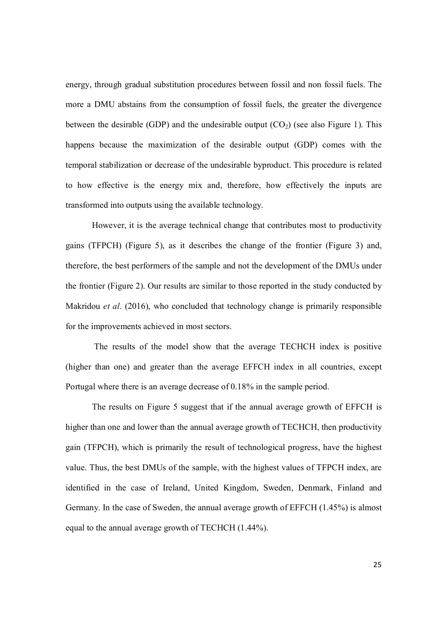energy, through gradual substitution procedures between fossil and non fossil fuels. The more a DMU abstains from the consumption of fossil fuels, the greater the divergence between the desirable (GDP) and the undesirable output  $(CO<sub>2</sub>)$  (see also Figure 1). This happens because the maximization of the desirable output (GDP) comes with the temporal stabilization or decrease of the undesirable byproduct. This procedure is related to how effective is the energy mix and, therefore, how effectively the inputs are transformed into outputs using the available technology.

 However, it is the average technical change that contributes most to productivity gains (TFPCH) (Figure 5), as it describes the change of the frontier (Figure 3) and, therefore, the best performers of the sample and not the development of the DMUs under the frontier (Figure 2). Our results are similar to those reported in the study conducted by Makridou *et al.* (2016), who concluded that technology change is primarily responsible for the improvements achieved in most sectors.

 The results of the model show that the average TECHCH index is positive (higher than one) and greater than the average EFFCH index in all countries, except Portugal where there is an average decrease of 0.18% in the sample period.

The results on Figure 5 suggest that if the annual average growth of EFFCH is higher than one and lower than the annual average growth of TECHCH, then productivity gain (TFPCH), which is primarily the result of technological progress, have the highest value. Thus, the best DMUs of the sample, with the highest values of TFPCH index, are identified in the case of Ireland, United Kingdom, Sweden, Denmark, Finland and Germany. In the case of Sweden, the annual average growth of EFFCH (1.45%) is almost equal to the annual average growth of TECHCH (1.44%).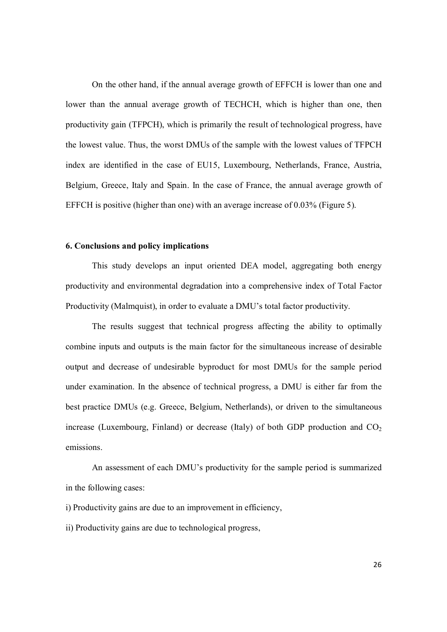On the other hand, if the annual average growth of EFFCH is lower than one and lower than the annual average growth of TECHCH, which is higher than one, then productivity gain (TFPCH), which is primarily the result of technological progress, have the lowest value. Thus, the worst DMUs of the sample with the lowest values of TFPCH index are identified in the case of EU15, Luxembourg, Netherlands, France, Austria, Belgium, Greece, Italy and Spain. In the case of France, the annual average growth of EFFCH is positive (higher than one) with an average increase of 0.03% (Figure 5).

### **6. Conclusions and policy implications**

 This study develops an input oriented DEA model, aggregating both energy productivity and environmental degradation into a comprehensive index of Total Factor Productivity (Malmquist), in order to evaluate a DMU's total factor productivity.

 The results suggest that technical progress affecting the ability to optimally combine inputs and outputs is the main factor for the simultaneous increase of desirable output and decrease of undesirable byproduct for most DMUs for the sample period under examination. In the absence of technical progress, a DMU is either far from the best practice DMUs (e.g. Greece, Belgium, Netherlands), or driven to the simultaneous increase (Luxembourg, Finland) or decrease (Italy) of both GDP production and  $CO<sub>2</sub>$ emissions.

 An assessment of each DMU's productivity for the sample period is summarized in the following cases:

i) Productivity gains are due to an improvement in efficiency,

ii) Productivity gains are due to technological progress,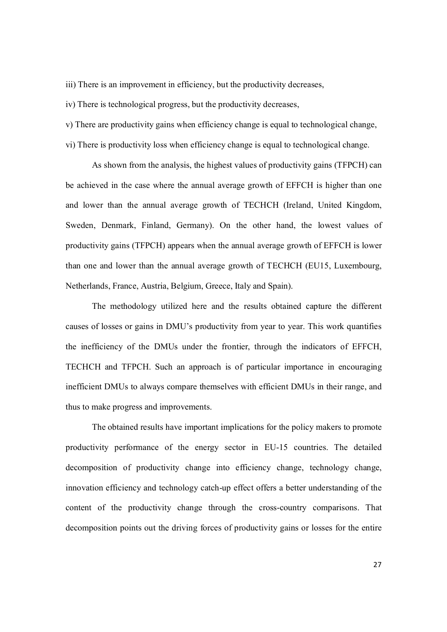iii) There is an improvement in efficiency, but the productivity decreases,

iv) There is technological progress, but the productivity decreases,

v) There are productivity gains when efficiency change is equal to technological change,

vi) There is productivity loss when efficiency change is equal to technological change.

 As shown from the analysis, the highest values of productivity gains (TFPCH) can be achieved in the case where the annual average growth of EFFCH is higher than one and lower than the annual average growth of TECHCH (Ireland, United Kingdom, Sweden, Denmark, Finland, Germany). On the other hand, the lowest values of productivity gains (TFPCH) appears when the annual average growth of EFFCH is lower than one and lower than the annual average growth of TECHCH (EU15, Luxembourg, Netherlands, France, Austria, Belgium, Greece, Italy and Spain).

 The methodology utilized here and the results obtained capture the different causes of losses or gains in DMU's productivity from year to year. This work quantifies the inefficiency of the DMUs under the frontier, through the indicators of EFFCH, TECHCH and TFPCH. Such an approach is of particular importance in encouraging inefficient DMUs to always compare themselves with efficient DMUs in their range, and thus to make progress and improvements.

 The obtained results have important implications for the policy makers to promote productivity performance of the energy sector in EU-15 countries. The detailed decomposition of productivity change into efficiency change, technology change, innovation efficiency and technology catch-up effect offers a better understanding of the content of the productivity change through the cross-country comparisons. That decomposition points out the driving forces of productivity gains or losses for the entire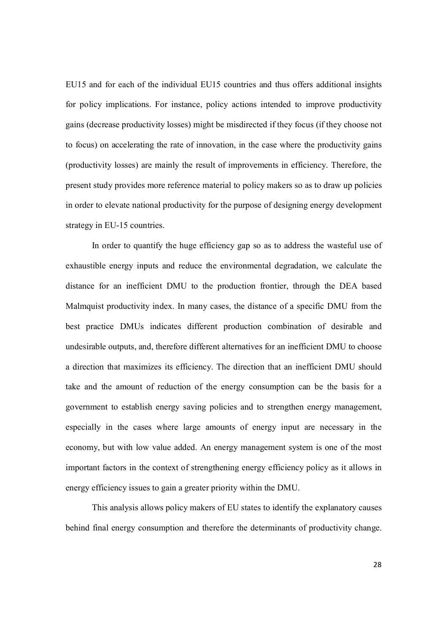EU15 and for each of the individual EU15 countries and thus offers additional insights for policy implications. For instance, policy actions intended to improve productivity gains (decrease productivity losses) might be misdirected if they focus (if they choose not to focus) on accelerating the rate of innovation, in the case where the productivity gains (productivity losses) are mainly the result of improvements in efficiency. Therefore, the present study provides more reference material to policy makers so as to draw up policies in order to elevate national productivity for the purpose of designing energy development strategy in EU-15 countries.

 In order to quantify the huge efficiency gap so as to address the wasteful use of exhaustible energy inputs and reduce the environmental degradation, we calculate the distance for an inefficient DMU to the production frontier, through the DEA based Malmquist productivity index. In many cases, the distance of a specific DMU from the best practice DMUs indicates different production combination of desirable and undesirable outputs, and, therefore different alternatives for an inefficient DMU to choose a direction that maximizes its efficiency. The direction that an inefficient DMU should take and the amount of reduction of the energy consumption can be the basis for a government to establish energy saving policies and to strengthen energy management, especially in the cases where large amounts of energy input are necessary in the economy, but with low value added. An energy management system is one of the most important factors in the context of strengthening energy efficiency policy as it allows in energy efficiency issues to gain a greater priority within the DMU.

 This analysis allows policy makers of EU states to identify the explanatory causes behind final energy consumption and therefore the determinants of productivity change.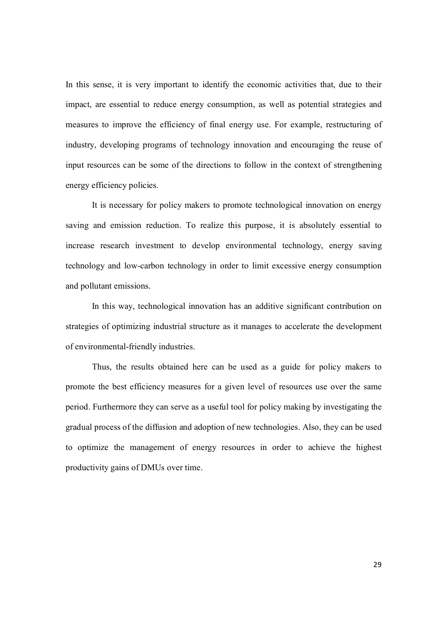In this sense, it is very important to identify the economic activities that, due to their impact, are essential to reduce energy consumption, as well as potential strategies and measures to improve the efficiency of final energy use. For example, restructuring of industry, developing programs of technology innovation and encouraging the reuse of input resources can be some of the directions to follow in the context of strengthening energy efficiency policies.

 It is necessary for policy makers to promote technological innovation on energy saving and emission reduction. To realize this purpose, it is absolutely essential to increase research investment to develop environmental technology, energy saving technology and low-carbon technology in order to limit excessive energy consumption and pollutant emissions.

 In this way, technological innovation has an additive significant contribution on strategies of optimizing industrial structure as it manages to accelerate the development of environmental-friendly industries.

 Thus, the results obtained here can be used as a guide for policy makers to promote the best efficiency measures for a given level of resources use over the same period. Furthermore they can serve as a useful tool for policy making by investigating the gradual process of the diffusion and adoption of new technologies. Also, they can be used to optimize the management of energy resources in order to achieve the highest productivity gains of DMUs over time.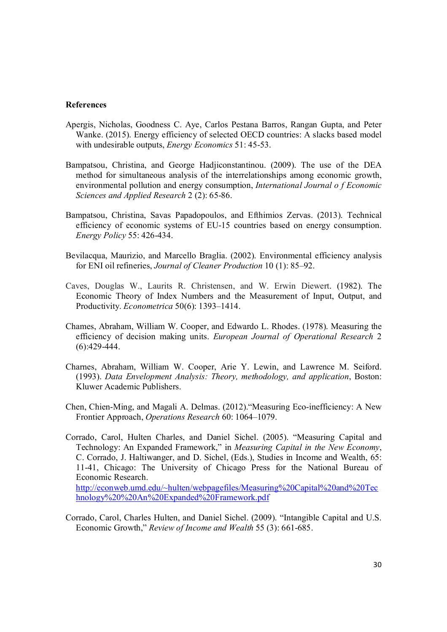#### **References**

- Apergis, Nicholas, Goodness C. Aye, Carlos Pestana Barros, Rangan Gupta, and Peter Wanke. (2015). Energy efficiency of selected OECD countries: A slacks based model with undesirable outputs, *Energy Economics* 51: 45-53.
- Bampatsou, Christina, and George Hadjiconstantinou. (2009). The use of the DEA method for simultaneous analysis of the interrelationships among economic growth, environmental pollution and energy consumption, *International Journal o f Economic Sciences and Applied Research* 2 (2): 65-86.
- Bampatsou, Christina, Savas Papadopoulos, and Efthimios Zervas. (2013). Technical efficiency of economic systems of EU-15 countries based on energy consumption. *Energy Policy* 55: 426-434.
- Bevilacqua, Maurizio, and Marcello Braglia. (2002). Environmental efficiency analysis for ENI oil refineries, *Journal of Cleaner Production* 10 (1): 85–92.
- Caves, Douglas W., Laurits R. Christensen, and W. Erwin Diewert. (1982). The Economic Theory of Index Numbers and the Measurement of Input, Output, and Productivity. *Econometrica* 50(6): 1393–1414.
- Chames, Abraham, William W. Cooper, and Edwardo L. Rhodes. (1978). Measuring the efficiency of decision making units. *European Journal of Operational Research* 2 (6):429-444.
- Charnes, Abraham, William W. Cooper, Arie Y. Lewin, and Lawrence M. Seiford. (1993). *Data Envelopment Analysis: Theory, methodology, and application*, Boston: Kluwer Academic Publishers.
- Chen, Chien-Ming, and Magali A. Delmas. (2012)."Measuring Eco-inefficiency: A New Frontier Approach, *Operations Research* 60: 1064–1079.
- Corrado, Carol, Hulten Charles, and Daniel Sichel. (2005). "Measuring Capital and Technology: An Expanded Framework," in *Measuring Capital in the New Economy*, C. Corrado, J. Haltiwanger, and D. Sichel, (Eds.), Studies in Income and Wealth, 65: 11-41, Chicago: The University of Chicago Press for the National Bureau of Economic Research. http://econweb.umd.edu/~hulten/webpagefiles/Measuring%20Capital%20and%20Tec hnology%20%20An%20Expanded%20Framework.pdf
- Corrado, Carol, Charles Hulten, and Daniel Sichel. (2009). "Intangible Capital and U.S. Economic Growth," *Review of Income and Wealth* 55 (3): 661-685.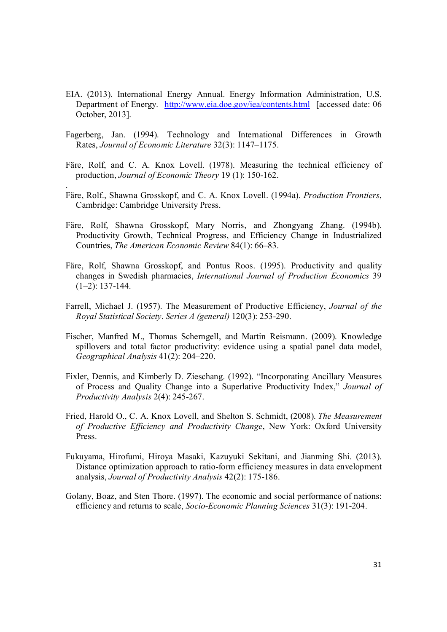- EIA. (2013). International Energy Annual. Energy Information Administration, U.S. Department of Energy. http://www.eia.doe.gov/iea/contents.html [accessed date: 06 October, 2013].
- Fagerberg, Jan. (1994). Technology and International Differences in Growth Rates, *Journal of Economic Literature* 32(3): 1147–1175.
- Färe, Rolf, and C. A. Knox Lovell. (1978). Measuring the technical efficiency of production, *Journal of Economic Theory* 19 (1): 150-162.
- Färe, Rolf., Shawna Grosskopf, and C. A. Knox Lovell. (1994a). *Production Frontiers*, Cambridge: Cambridge University Press.

.

- Färe, Rolf, Shawna Grosskopf, Mary Norris, and Zhongyang Zhang. (1994b). Productivity Growth, Technical Progress, and Efficiency Change in Industrialized Countries, *The American Economic Review* 84(1): 66–83.
- Färe, Rolf, Shawna Grosskopf, and Pontus Roos. (1995). Productivity and quality changes in Swedish pharmacies, *International Journal of Production Economics* 39  $(1-2)$ : 137-144.
- Farrell, Michael J. (1957). The Measurement of Productive Efficiency, *Journal of the Royal Statistical Society*. *Series A (general)* 120(3): 253-290.
- Fischer, Manfred M., Thomas Scherngell, and Martin Reismann. (2009). Knowledge spillovers and total factor productivity: evidence using a spatial panel data model, *Geographical Analysis* 41(2): 204–220.
- Fixler, Dennis, and Kimberly D. Zieschang. (1992). "Incorporating Ancillary Measures of Process and Quality Change into a Superlative Productivity Index," *Journal of Productivity Analysis* 2(4): 245-267.
- Fried, Harold O., C. A. Knox Lovell, and Shelton S. Schmidt, (2008). *The Measurement of Productive Efficiency and Productivity Change*, New York: Oxford University Press.
- Fukuyama, Hirofumi, Hiroya Masaki, Kazuyuki Sekitani, and Jianming Shi. (2013). Distance optimization approach to ratio-form efficiency measures in data envelopment analysis, *Journal of Productivity Analysis* 42(2): 175-186.
- Golany, Boaz, and Sten Thore. (1997). The economic and social performance of nations: efficiency and returns to scale, *Socio-Economic Planning Sciences* 31(3): 191-204.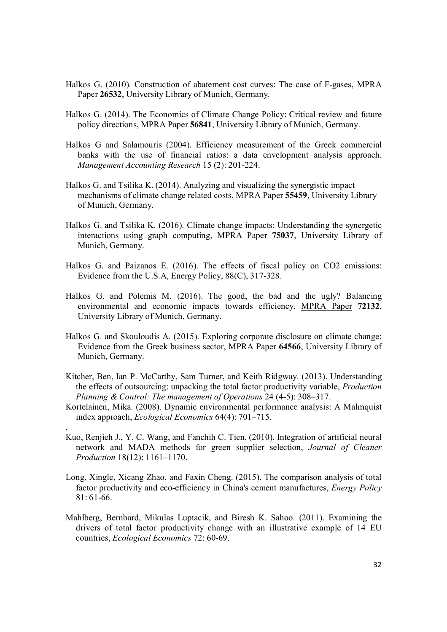- Halkos G. (2010). Construction of abatement cost curves: The case of F-gases, MPRA Paper **26532**, University Library of Munich, Germany.
- Halkos G. (2014). The Economics of Climate Change Policy: Critical review and future policy directions, MPRA Paper **56841**, University Library of Munich, Germany.
- Halkos G and Salamouris (2004). Efficiency measurement of the Greek commercial banks with the use of financial ratios: a data envelopment analysis approach. *Management Accounting Research* 15 (2): 201-224.
- Halkos G. and Tsilika K. (2014). Analyzing and visualizing the synergistic impact mechanisms of climate change related costs, MPRA Paper **55459**, University Library of Munich, Germany.
- Halkos G. and Tsilika K. (2016). Climate change impacts: Understanding the synergetic interactions using graph computing, MPRA Paper **75037**, University Library of Munich, Germany.
- Halkos G. and Paizanos E. (2016). The effects of fiscal policy on CO2 emissions: Evidence from the U.S.A, Energy Policy, 88(C), 317-328.
- Halkos G. and Polemis M. (2016). The good, the bad and the ugly? Balancing environmental and economic impacts towards efficiency, MPRA Paper **72132**, University Library of Munich, Germany.
- Halkos G. and Skouloudis A. (2015). Exploring corporate disclosure on climate change: Evidence from the Greek business sector, MPRA Paper **64566**, University Library of Munich, Germany.
- Kitcher, Ben, Ian P. McCarthy, Sam Turner, and Keith Ridgway. (2013). Understanding the effects of outsourcing: unpacking the total factor productivity variable, *Production Planning & Control: The management of Operations* 24 (4-5): 308–317.
- Kortelainen, Mika. (2008). Dynamic environmental performance analysis: A Malmquist index approach, *Ecological Economics* 64(4): 701–715.

.

- Kuo, Renjieh J., Y. C. Wang, and Fanchih C. Tien. (2010). Integration of artificial neural network and MADA methods for green supplier selection, *Journal of Cleaner Production* 18(12): 1161–1170.
- Long, Xingle, Xicang Zhao, and Faxin Cheng. (2015). The comparison analysis of total factor productivity and eco-efficiency in China's cement manufactures, *Energy Policy*  $81 \cdot 61 - 66$
- Mahlberg, Bernhard, Mikulas Luptacik, and Biresh K. Sahoo. (2011). Examining the drivers of total factor productivity change with an illustrative example of 14 EU countries, *Ecological Economics* 72: 60-69.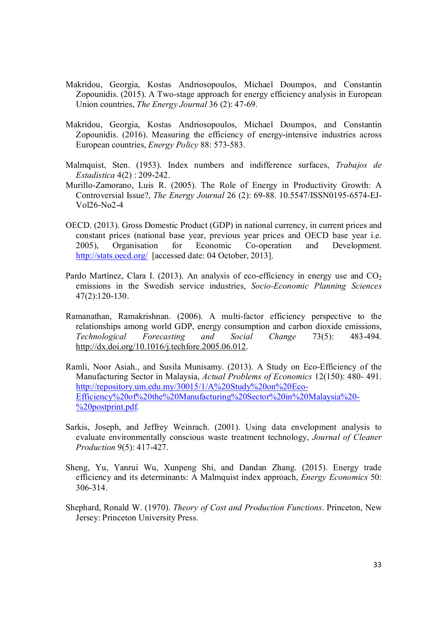- Makridou, Georgia, Kostas Andriosopoulos, Michael Doumpos, and Constantin Zopounidis. (2015). A Two-stage approach for energy efficiency analysis in European Union countries, *The Energy Journal* 36 (2): 47-69.
- Makridou, Georgia, Kostas Andriosopoulos, Michael Doumpos, and Constantin Zopounidis. (2016). Measuring the efficiency of energy-intensive industries across European countries, *Energy Policy* 88: 573-583.
- Malmquist, Sten. (1953). Index numbers and indifference surfaces, *Trabajos de Estadistica* 4(2) : 209-242.
- Murillo-Zamorano, Luis R. (2005). The Role of Energy in Productivity Growth: A Controversial Issue?, *The Energy Journal* 26 (2): 69-88. 10.5547/ISSN0195-6574-EJ-Vol26-No2-4
- OECD. (2013). Gross Domestic Product (GDP) in national currency, in current prices and constant prices (national base year, previous year prices and OECD base year i.e. 2005), Organisation for Economic Co-operation and Development. http://stats.oecd.org/ [accessed date: 04 October, 2013].
- Pardo Martínez, Clara I. (2013). An analysis of eco-efficiency in energy use and  $CO<sub>2</sub>$ emissions in the Swedish service industries, *Socio-Economic Planning Sciences* 47(2):120-130.
- Ramanathan, Ramakrishnan. (2006). A multi-factor efficiency perspective to the relationships among world GDP, energy consumption and carbon dioxide emissions, *Technological Forecasting and Social Change* 73(5): 483-494. http://dx.doi.org/10.1016/j.techfore.2005.06.012.
- Ramli, Noor Asiah., and Susila Munisamy. (2013). A Study on Eco-Efficiency of the Manufacturing Sector in Malaysia, *Actual Problems of Economics* 12(150): 480- 491. http://repository.um.edu.my/30015/1/A%20Study%20on%20Eco-Efficiency%20of%20the%20Manufacturing%20Sector%20in%20Malaysia%20- %20postprint.pdf.
- Sarkis, Joseph, and Jeffrey Weinrach. (2001). Using data envelopment analysis to evaluate environmentally conscious waste treatment technology, *Journal of Cleaner Production* 9(5): 417-427.
- Sheng, Yu, Yanrui Wu, Xunpeng Shi, and Dandan Zhang. (2015). Energy trade efficiency and its determinants: A Malmquist index approach, *Energy Economics* 50: 306-314.
- Shephard, Ronald W. (1970). *Theory of Cost and Production Functions*. Princeton, New Jersey: Princeton University Press.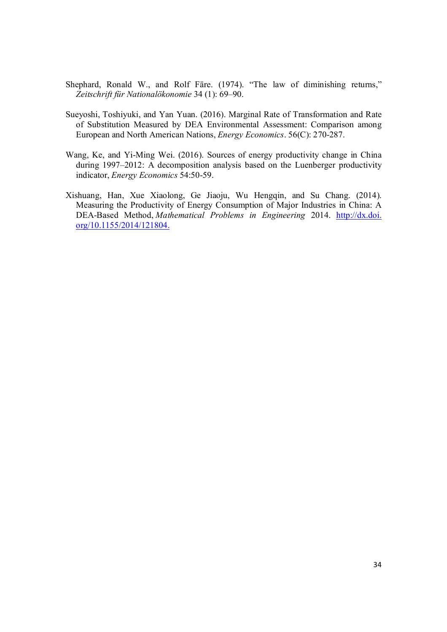- Shephard, Ronald W., and Rolf Färe. (1974). "The law of diminishing returns," *Zeitschrift für Nationalökonomie* 34 (1): 69–90.
- Sueyoshi, Toshiyuki, and Yan Yuan. (2016). Marginal Rate of Transformation and Rate of Substitution Measured by DEA Environmental Assessment: Comparison among European and North American Nations, *Energy Economics*. 56(C): 270-287.
- Wang, Ke, and Yi-Ming Wei. (2016). Sources of energy productivity change in China during 1997–2012: A decomposition analysis based on the Luenberger productivity indicator, *Energy Economics* 54:50-59.
- Xishuang, Han, Xue Xiaolong, Ge Jiaoju, Wu Hengqin, and Su Chang. (2014). Measuring the Productivity of Energy Consumption of Major Industries in China: A DEA-Based Method, Mathematical Problems in Engineering 2014. http://dx.doi. org/10.1155/2014/121804.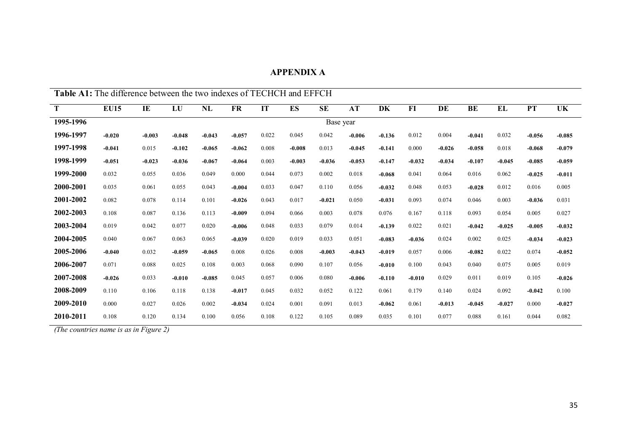| <b>APPENDIX A</b> |  |
|-------------------|--|
|-------------------|--|

| <b>Table A1:</b> The difference between the two indexes of TECHCH and EFFCH |             |          |          |          |           |       |           |           |          |          |          |          |          |          |           |          |
|-----------------------------------------------------------------------------|-------------|----------|----------|----------|-----------|-------|-----------|-----------|----------|----------|----------|----------|----------|----------|-----------|----------|
| T                                                                           | <b>EU15</b> | IE       | LU       | NL       | <b>FR</b> | IT    | <b>ES</b> | <b>SE</b> | AT       | DK       | $FI$     | DE       | BE       | EL       | <b>PT</b> | UK       |
| 1995-1996                                                                   |             |          |          |          |           |       |           | Base year |          |          |          |          |          |          |           |          |
| 1996-1997                                                                   | $-0.020$    | $-0.003$ | $-0.048$ | $-0.043$ | $-0.057$  | 0.022 | 0.045     | 0.042     | $-0.006$ | $-0.136$ | 0.012    | 0.004    | $-0.041$ | 0.032    | $-0.056$  | $-0.085$ |
| 1997-1998                                                                   | $-0.041$    | 0.015    | $-0.102$ | $-0.065$ | $-0.062$  | 0.008 | $-0.008$  | 0.013     | $-0.045$ | $-0.141$ | 0.000    | $-0.026$ | $-0.058$ | 0.018    | $-0.068$  | $-0.079$ |
| 1998-1999                                                                   | $-0.051$    | $-0.023$ | $-0.036$ | $-0.067$ | $-0.064$  | 0.003 | $-0.003$  | $-0.036$  | $-0.053$ | $-0.147$ | $-0.032$ | $-0.034$ | $-0.107$ | $-0.045$ | $-0.085$  | $-0.059$ |
| 1999-2000                                                                   | 0.032       | 0.055    | 0.036    | 0.049    | 0.000     | 0.044 | 0.073     | 0.002     | 0.018    | $-0.068$ | 0.041    | 0.064    | 0.016    | 0.062    | $-0.025$  | $-0.011$ |
| 2000-2001                                                                   | 0.035       | 0.061    | 0.055    | 0.043    | $-0.004$  | 0.033 | 0.047     | 0.110     | 0.056    | $-0.032$ | 0.048    | 0.053    | $-0.028$ | 0.012    | 0.016     | 0.005    |
| 2001-2002                                                                   | 0.082       | 0.078    | 0.114    | 0.101    | $-0.026$  | 0.043 | 0.017     | $-0.021$  | 0.050    | $-0.031$ | 0.093    | 0.074    | 0.046    | 0.003    | $-0.036$  | 0.031    |
| 2002-2003                                                                   | 0.108       | 0.087    | 0.136    | 0.113    | $-0.009$  | 0.094 | 0.066     | 0.003     | 0.078    | 0.076    | 0.167    | 0.118    | 0.093    | 0.054    | 0.005     | 0.027    |
| 2003-2004                                                                   | 0.019       | 0.042    | 0.077    | 0.020    | $-0.006$  | 0.048 | 0.033     | 0.079     | 0.014    | $-0.139$ | 0.022    | 0.021    | $-0.042$ | $-0.025$ | $-0.005$  | $-0.032$ |
| 2004-2005                                                                   | 0.040       | 0.067    | 0.063    | 0.065    | $-0.039$  | 0.020 | 0.019     | 0.033     | 0.051    | $-0.083$ | $-0.036$ | 0.024    | 0.002    | 0.025    | $-0.034$  | $-0.023$ |
| 2005-2006                                                                   | $-0.040$    | 0.032    | $-0.059$ | $-0.065$ | 0.008     | 0.026 | 0.008     | $-0.003$  | $-0.043$ | $-0.019$ | 0.057    | 0.006    | $-0.082$ | 0.022    | 0.074     | $-0.052$ |
| 2006-2007                                                                   | 0.071       | 0.088    | 0.025    | 0.108    | 0.003     | 0.068 | 0.090     | 0.107     | 0.056    | $-0.010$ | 0.100    | 0.043    | 0.040    | 0.075    | 0.005     | 0.019    |
| 2007-2008                                                                   | $-0.026$    | 0.033    | $-0.010$ | $-0.085$ | 0.045     | 0.057 | 0.006     | 0.080     | $-0.006$ | $-0.110$ | $-0.010$ | 0.029    | 0.011    | 0.019    | 0.105     | $-0.026$ |
| 2008-2009                                                                   | 0.110       | 0.106    | 0.118    | 0.138    | $-0.017$  | 0.045 | 0.032     | 0.052     | 0.122    | 0.061    | 0.179    | 0.140    | 0.024    | 0.092    | $-0.042$  | 0.100    |
| 2009-2010                                                                   | 0.000       | 0.027    | 0.026    | 0.002    | $-0.034$  | 0.024 | 0.001     | 0.091     | 0.013    | $-0.062$ | 0.061    | $-0.013$ | $-0.045$ | $-0.027$ | 0.000     | $-0.027$ |
| 2010-2011                                                                   | 0.108       | 0.120    | 0.134    | 0.100    | 0.056     | 0.108 | 0.122     | 0.105     | 0.089    | 0.035    | 0.101    | 0.077    | 0.088    | 0.161    | 0.044     | 0.082    |

 *(The countries name is as in Figure 2)*